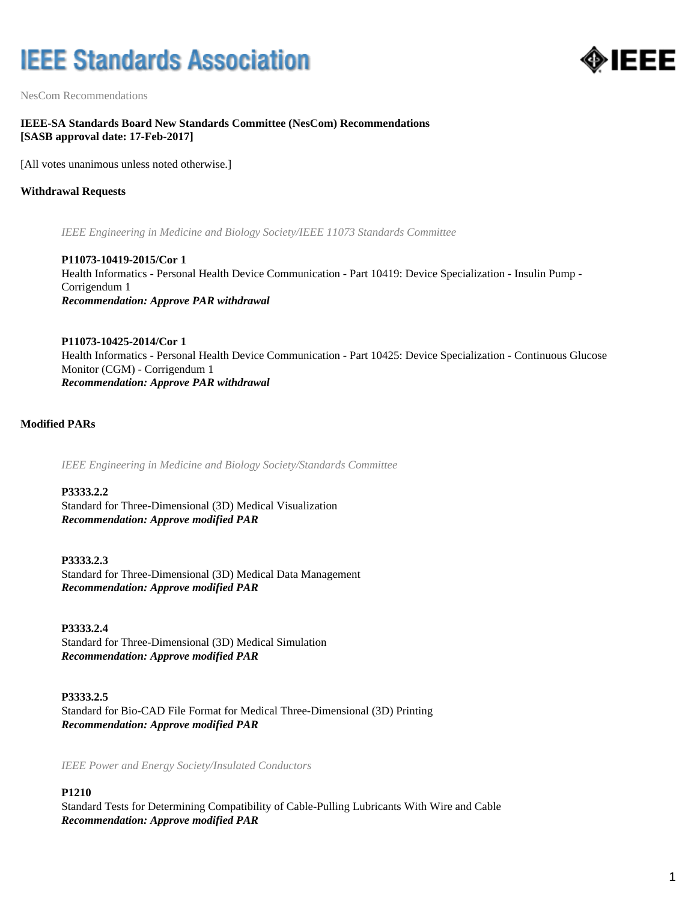# **IEEE Standards Association**



NesCom Recommendations

## **IEEE-SA Standards Board New Standards Committee (NesCom) Recommendations [SASB approval date: 17-Feb-2017]**

[All votes unanimous unless noted otherwise.]

## **Withdrawal Requests**

*IEEE Engineering in Medicine and Biology Society/IEEE 11073 Standards Committee*

**P11073-10419-2015/Cor 1** Health Informatics - Personal Health Device Communication - Part 10419: Device Specialization - Insulin Pump - Corrigendum 1 *Recommendation: Approve PAR withdrawal*

**P11073-10425-2014/Cor 1** Health Informatics - Personal Health Device Communication - Part 10425: Device Specialization - Continuous Glucose Monitor (CGM) - Corrigendum 1 *Recommendation: Approve PAR withdrawal*

## **Modified PARs**

*IEEE Engineering in Medicine and Biology Society/Standards Committee*

**P3333.2.2** Standard for Three-Dimensional (3D) Medical Visualization *Recommendation: Approve modified PAR*

**P3333.2.3** Standard for Three-Dimensional (3D) Medical Data Management *Recommendation: Approve modified PAR*

**P3333.2.4** Standard for Three-Dimensional (3D) Medical Simulation *Recommendation: Approve modified PAR*

**P3333.2.5** Standard for Bio-CAD File Format for Medical Three-Dimensional (3D) Printing *Recommendation: Approve modified PAR*

*IEEE Power and Energy Society/Insulated Conductors*

## **P1210**

Standard Tests for Determining Compatibility of Cable-Pulling Lubricants With Wire and Cable *Recommendation: Approve modified PAR*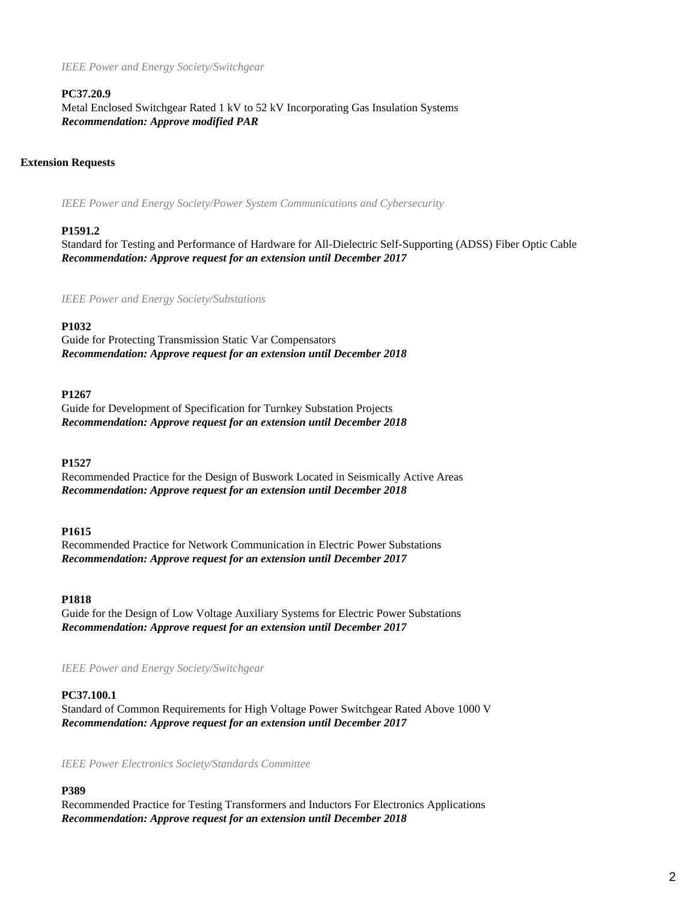*IEEE Power and Energy Society/Switchgear*

#### **PC37.20.9**

Metal Enclosed Switchgear Rated 1 kV to 52 kV Incorporating Gas Insulation Systems *Recommendation: Approve modified PAR*

## **Extension Requests**

*IEEE Power and Energy Society/Power System Communications and Cybersecurity*

#### **P1591.2**

Standard for Testing and Performance of Hardware for All-Dielectric Self-Supporting (ADSS) Fiber Optic Cable *Recommendation: Approve request for an extension until December 2017*

*IEEE Power and Energy Society/Substations*

#### **P1032**

Guide for Protecting Transmission Static Var Compensators *Recommendation: Approve request for an extension until December 2018*

#### **P1267**

Guide for Development of Specification for Turnkey Substation Projects *Recommendation: Approve request for an extension until December 2018*

#### **P1527**

Recommended Practice for the Design of Buswork Located in Seismically Active Areas *Recommendation: Approve request for an extension until December 2018*

#### **P1615**

Recommended Practice for Network Communication in Electric Power Substations *Recommendation: Approve request for an extension until December 2017*

#### **P1818**

Guide for the Design of Low Voltage Auxiliary Systems for Electric Power Substations *Recommendation: Approve request for an extension until December 2017*

*IEEE Power and Energy Society/Switchgear*

#### **PC37.100.1**

Standard of Common Requirements for High Voltage Power Switchgear Rated Above 1000 V *Recommendation: Approve request for an extension until December 2017*

*IEEE Power Electronics Society/Standards Committee*

# **P389**

Recommended Practice for Testing Transformers and Inductors For Electronics Applications *Recommendation: Approve request for an extension until December 2018*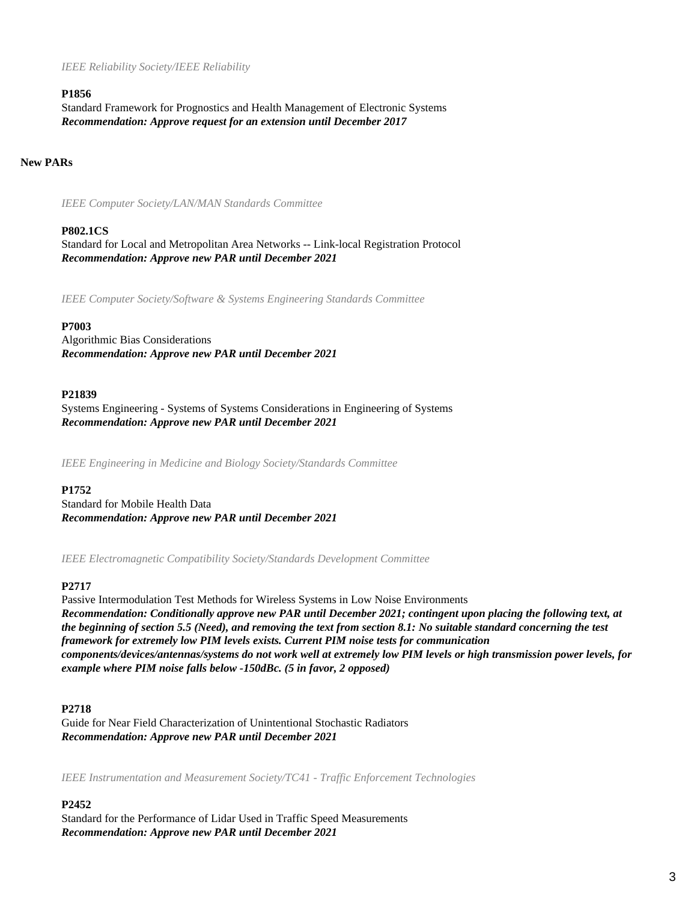*IEEE Reliability Society/IEEE Reliability*

#### **P1856**

Standard Framework for Prognostics and Health Management of Electronic Systems *Recommendation: Approve request for an extension until December 2017*

## **New PARs**

*IEEE Computer Society/LAN/MAN Standards Committee*

#### **P802.1CS**

Standard for Local and Metropolitan Area Networks -- Link-local Registration Protocol *Recommendation: Approve new PAR until December 2021*

*IEEE Computer Society/Software & Systems Engineering Standards Committee*

#### **P7003**

Algorithmic Bias Considerations *Recommendation: Approve new PAR until December 2021*

#### **P21839**

Systems Engineering - Systems of Systems Considerations in Engineering of Systems *Recommendation: Approve new PAR until December 2021*

*IEEE Engineering in Medicine and Biology Society/Standards Committee*

#### **P1752**

Standard for Mobile Health Data *Recommendation: Approve new PAR until December 2021*

*IEEE Electromagnetic Compatibility Society/Standards Development Committee*

## **P2717**

Passive Intermodulation Test Methods for Wireless Systems in Low Noise Environments *Recommendation: Conditionally approve new PAR until December 2021; contingent upon placing the following text, at the beginning of section 5.5 (Need), and removing the text from section 8.1: No suitable standard concerning the test framework for extremely low PIM levels exists. Current PIM noise tests for communication components/devices/antennas/systems do not work well at extremely low PIM levels or high transmission power levels, for example where PIM noise falls below -150dBc. (5 in favor, 2 opposed)*

#### **P2718**

Guide for Near Field Characterization of Unintentional Stochastic Radiators *Recommendation: Approve new PAR until December 2021*

*IEEE Instrumentation and Measurement Society/TC41 - Traffic Enforcement Technologies*

#### **P2452**

Standard for the Performance of Lidar Used in Traffic Speed Measurements *Recommendation: Approve new PAR until December 2021*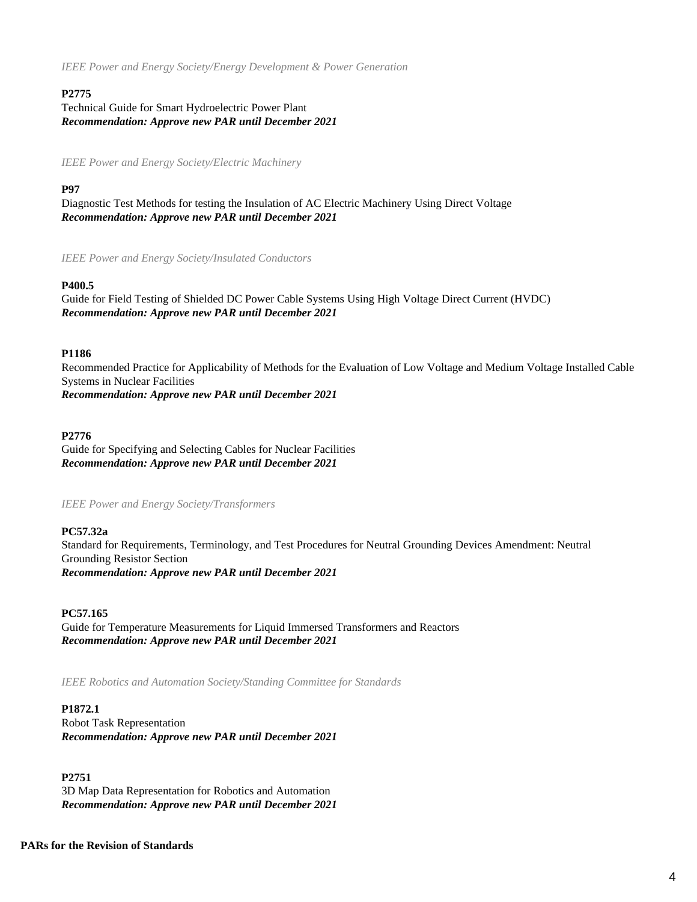*IEEE Power and Energy Society/Energy Development & Power Generation*

## **P2775**

Technical Guide for Smart Hydroelectric Power Plant *Recommendation: Approve new PAR until December 2021*

*IEEE Power and Energy Society/Electric Machinery*

## **P97**

Diagnostic Test Methods for testing the Insulation of AC Electric Machinery Using Direct Voltage *Recommendation: Approve new PAR until December 2021*

*IEEE Power and Energy Society/Insulated Conductors*

## **P400.5**

Guide for Field Testing of Shielded DC Power Cable Systems Using High Voltage Direct Current (HVDC) *Recommendation: Approve new PAR until December 2021*

## **P1186**

Recommended Practice for Applicability of Methods for the Evaluation of Low Voltage and Medium Voltage Installed Cable Systems in Nuclear Facilities *Recommendation: Approve new PAR until December 2021*

#### **P2776**

Guide for Specifying and Selecting Cables for Nuclear Facilities *Recommendation: Approve new PAR until December 2021*

*IEEE Power and Energy Society/Transformers*

## **PC57.32a**

Standard for Requirements, Terminology, and Test Procedures for Neutral Grounding Devices Amendment: Neutral Grounding Resistor Section *Recommendation: Approve new PAR until December 2021*

## **PC57.165**

Guide for Temperature Measurements for Liquid Immersed Transformers and Reactors *Recommendation: Approve new PAR until December 2021*

*IEEE Robotics and Automation Society/Standing Committee for Standards*

#### **P1872.1**

Robot Task Representation *Recommendation: Approve new PAR until December 2021*

**P2751** 3D Map Data Representation for Robotics and Automation *Recommendation: Approve new PAR until December 2021*

# **PARs for the Revision of Standards**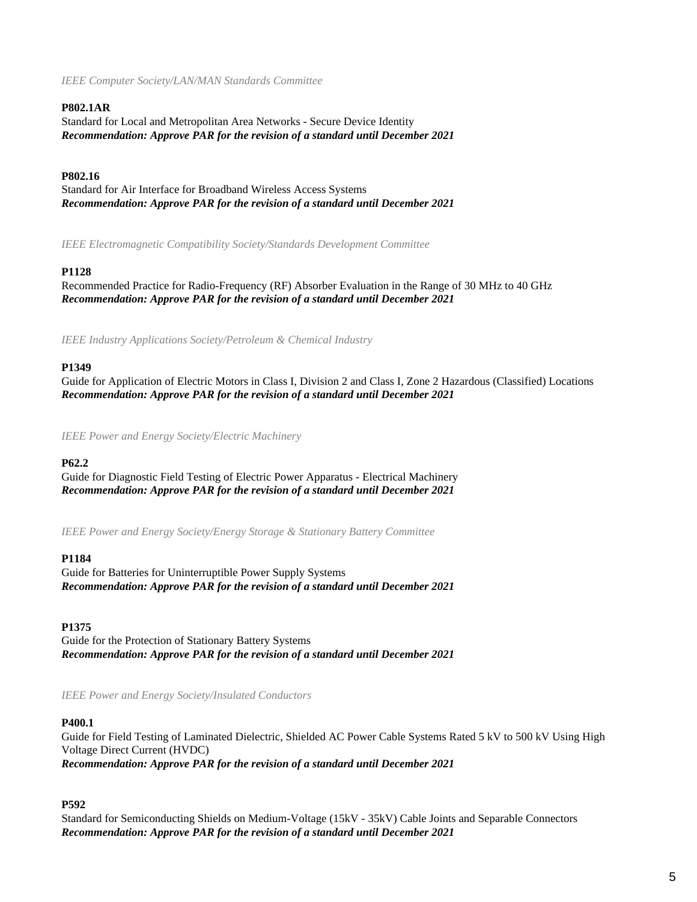*IEEE Computer Society/LAN/MAN Standards Committee*

## **P802.1AR**

Standard for Local and Metropolitan Area Networks - Secure Device Identity *Recommendation: Approve PAR for the revision of a standard until December 2021*

## **P802.16**

Standard for Air Interface for Broadband Wireless Access Systems *Recommendation: Approve PAR for the revision of a standard until December 2021*

*IEEE Electromagnetic Compatibility Society/Standards Development Committee*

## **P1128**

Recommended Practice for Radio-Frequency (RF) Absorber Evaluation in the Range of 30 MHz to 40 GHz *Recommendation: Approve PAR for the revision of a standard until December 2021*

*IEEE Industry Applications Society/Petroleum & Chemical Industry*

## **P1349**

Guide for Application of Electric Motors in Class I, Division 2 and Class I, Zone 2 Hazardous (Classified) Locations *Recommendation: Approve PAR for the revision of a standard until December 2021*

*IEEE Power and Energy Society/Electric Machinery*

## **P62.2**

Guide for Diagnostic Field Testing of Electric Power Apparatus - Electrical Machinery *Recommendation: Approve PAR for the revision of a standard until December 2021*

*IEEE Power and Energy Society/Energy Storage & Stationary Battery Committee*

## **P1184**

Guide for Batteries for Uninterruptible Power Supply Systems *Recommendation: Approve PAR for the revision of a standard until December 2021*

## **P1375**

Guide for the Protection of Stationary Battery Systems *Recommendation: Approve PAR for the revision of a standard until December 2021*

*IEEE Power and Energy Society/Insulated Conductors*

## **P400.1**

Guide for Field Testing of Laminated Dielectric, Shielded AC Power Cable Systems Rated 5 kV to 500 kV Using High Voltage Direct Current (HVDC) *Recommendation: Approve PAR for the revision of a standard until December 2021*

## **P592**

Standard for Semiconducting Shields on Medium-Voltage (15kV - 35kV) Cable Joints and Separable Connectors *Recommendation: Approve PAR for the revision of a standard until December 2021*